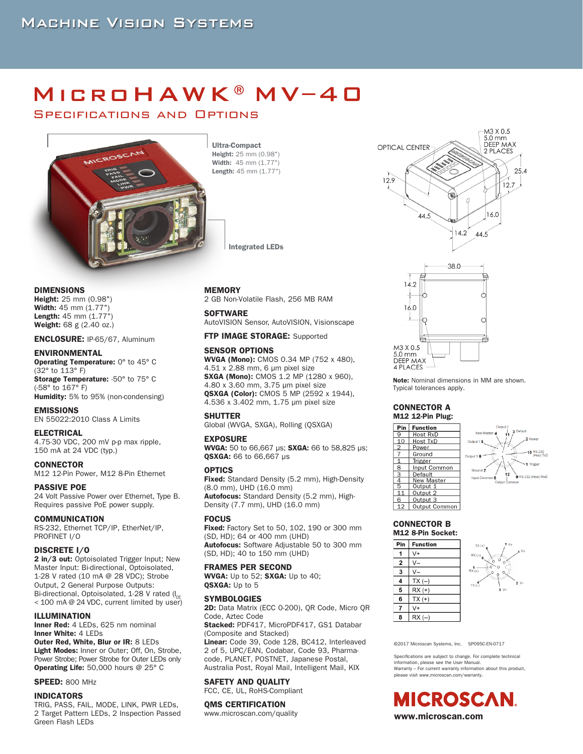# MICROHAWK®MV-40

Specifications and Options



Ultra-Compact Height: 25 mm (0.98") Width: 45 mm (1.77") Length: 45 mm (1.77")

Integrated LEDs

DIMENSIONS

Height: 25 mm (0.98") Width: 45 mm (1.77") Length: 45 mm (1.77") Weight: 68 g (2.40 oz.)

#### ENCLOSURE: IP-65/67, Aluminum

#### ENVIRONMENTAL

Operating Temperature: 0° to 45° C (32° to 113° F) Storage Temperature: -50° to 75° C

(-58° to 167° F) Humidity: 5% to 95% (non-condensing)

EMISSIONS EN 55022:2010 Class A Limits

#### ELECTRICAL

4.75-30 VDC, 200 mV p-p max ripple, 150 mA at 24 VDC (typ.)

## **CONNECTOR**

M12 12-Pin Power, M12 8-Pin Ethernet

PASSIVE POE 24 Volt Passive Power over Ethernet, Type B. Requires passive PoE power supply.

#### COMMUNICATION

RS-232, Ethernet TCP/IP, EtherNet/IP, PROFINET I/O

#### DISCRETE I/O

2 in/3 out: Optoisolated Trigger Input; New Master Input: Bi-directional, Optoisolated, 1-28 V rated (10 mA @ 28 VDC); Strobe Output, 2 General Purpose Outputs: Bi-directional, Optoisolated, 1-28 V rated ( $I_{CF}$ < 100 mA @ 24 VDC, current limited by user)

#### ILLUMINATION

Inner Red: 4 LEDs, 625 nm nominal Inner White: 4 LEDs Outer Red, White, Blur or IR: 8 LEDs Light Modes: Inner or Outer; Off, On, Strobe,

Power Strobe; Power Strobe for Outer LEDs only Operating Life: 50,000 hours @ 25° C

#### **SPEED: 800 MHz**

INDICATORS

TRIG, PASS, FAIL, MODE, LINK, PWR LEDs, 2 Target Pattern LEDs, 2 Inspection Passed Green Flash LEDs

#### MEMORY

2 GB Non-Volatile Flash, 256 MB RAM

#### **SOFTWARE**

AutoVISION Sensor, AutoVISION, Visionscape

#### FTP IMAGE STORAGE: Supported

#### SENSOR OPTIONS

WVGA (Mono): CMOS 0.34 MP (752 x 480), 4.51 x 2.88 mm, 6 μm pixel size SXGA (Mono): CMOS 1.2 MP (1280 x 960), 4.80 x 3.60 mm, 3.75 μm pixel size QSXGA (Color): CMOS 5 MP (2592 x 1944), 4.536 x 3.402 mm, 1.75 μm pixel size

#### SHUTTER

Global (WVGA, SXGA), Rolling (QSXGA)

#### EXPOSURE

WVGA: 50 to 66,667 us: SXGA: 66 to 58,825 us: QSXGA: 66 to 66,667 μs

#### **OPTICS**

Fixed: Standard Density (5.2 mm), High-Density (8.0 mm), UHD (16.0 mm) Autofocus: Standard Density (5.2 mm), High-Density (7.7 mm), UHD (16.0 mm)

#### **FOCUS**

**Fixed:** Factory Set to 50, 102, 190 or 300 mm (SD, HD); 64 or 400 mm (UHD) Autofocus: Software Adjustable 50 to 300 mm (SD, HD); 40 to 150 mm (UHD)

#### FRAMES PER SECOND

WVGA: Up to 52; SXGA: Up to 40; QSXGA: Up to 5

#### **SYMBOLOGIES**

2D: Data Matrix (ECC 0-200), QR Code, Micro QR Code, Aztec Code Stacked: PDF417, MicroPDF417, GS1 Databar (Composite and Stacked) Linear: Code 39, Code 128, BC412, Interleaved 2 of 5, UPC/EAN, Codabar, Code 93, Pharmacode, PLANET, POSTNET, Japanese Postal, Australia Post, Royal Mail, Intelligent Mail, KIX

## SAFETY AND QUALITY

FCC, CE, UL, RoHS-Compliant

#### OMS CERTIFICATION

www.microscan.com/quality





Note: Nominal dimensions in MM are shown. Typical tolerances apply.

#### CONNECTOR A M12 12-Pin Plug:





#### CONNECTOR B M12 8-Pin Socket:





©2017 Microscan Systems, Inc. SP095C-EN-0717

Specifications are subject to change. For complete technical information, please see the User Manual. Warranty – For current warranty information about this product, please visit www.microscan.com/warranty.

**MICROSCAN.** www.microscan.com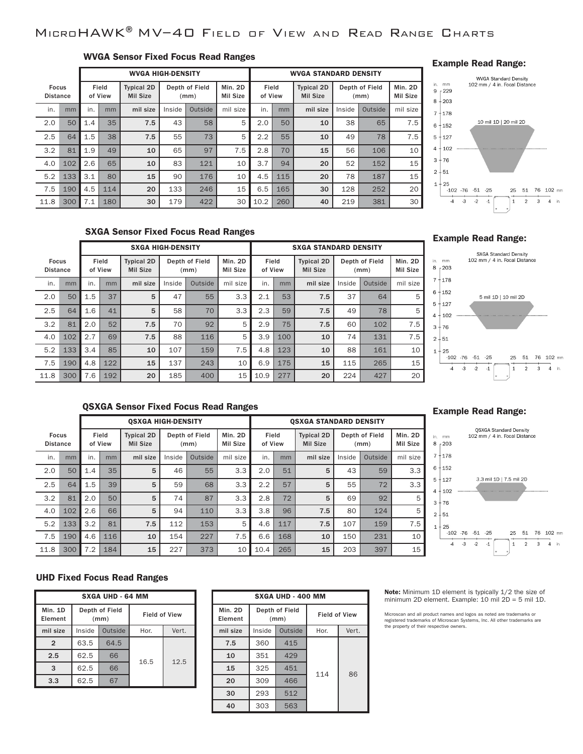## MicroHAWK®MV–40 Field of View and Read Range Charts

## WVGA Sensor Fixed Focus Read Ranges

|                                 |     |     | <b>WVGA HIGH-DENSITY</b> |                                      |        |                        |                            | <b>WVGA STANDARD DENSITY</b> |     |                                      |        |                        |                            |
|---------------------------------|-----|-----|--------------------------|--------------------------------------|--------|------------------------|----------------------------|------------------------------|-----|--------------------------------------|--------|------------------------|----------------------------|
| <b>Focus</b><br><b>Distance</b> |     |     | Field<br>of View         | <b>Typical 2D</b><br><b>Mil Size</b> |        | Depth of Field<br>(mm) | <b>Min. 2D</b><br>Mil Size | Field<br>of View             |     | <b>Typical 2D</b><br><b>Mil Size</b> |        | Depth of Field<br>(mm) | Min. 2D<br><b>Mil Size</b> |
| in.                             | mm  | in. | mm                       | mil size                             | Inside | Outside                | mil size                   | in.                          | mm  | mil size                             | Inside | Outside                | mil size                   |
| 2.0                             | 50  | 1.4 | 35                       | 7.5                                  | 43     | 58                     | 5                          | 2.0                          | 50  | 10                                   | 38     | 65                     | 7.5                        |
| 2.5                             | 64  | 1.5 | 38                       | 7.5                                  | 55     | 73                     | 5                          | 2.2                          | 55  | 10                                   | 49     | 78                     | 7.5                        |
| 3.2                             | 81  | 1.9 | 49                       | 10                                   | 65     | 97                     | 7.5                        | 2.8                          | 70  | 15                                   | 56     | 106                    | 10                         |
| 4.0                             | 102 | 2.6 | 65                       | 10                                   | 83     | 121                    | 10                         | 3.7                          | 94  | 20                                   | 52     | 152                    | 15                         |
| 5.2                             | 133 | 3.1 | 80                       | 15                                   | 90     | 176                    | 10                         | 4.5                          | 115 | 20                                   | 78     | 187                    | 15                         |
| 7.5                             | 190 | 4.5 | 114                      | 20                                   | 133    | 246                    | 15                         | 6.5                          | 165 | 30                                   | 128    | 252                    | 20                         |
| 11.8                            | 300 | 7.1 | 180                      | 30                                   | 179    | 422                    | 30                         | 10.2                         | 260 | 40                                   | 219    | 381                    | 30                         |

## Example Read Range:



## SXGA Sensor Fixed Focus Read Ranges

|                                 |     |                  | <b>SXGA HIGH-DENSITY</b> |                                      |                        |         |                     | <b>SXGA STANDARD DENSITY</b> |     |                                      |        |                        |                            |
|---------------------------------|-----|------------------|--------------------------|--------------------------------------|------------------------|---------|---------------------|------------------------------|-----|--------------------------------------|--------|------------------------|----------------------------|
| <b>Focus</b><br><b>Distance</b> |     | Field<br>of View |                          | <b>Typical 2D</b><br><b>Mil Size</b> | Depth of Field<br>(mm) |         | Min. 2D<br>Mil Size | Field<br>of View             |     | <b>Typical 2D</b><br><b>Mil Size</b> |        | Depth of Field<br>(mm) | Min. 2D<br><b>Mil Size</b> |
| in.                             | mm  | in.              | mm                       | mil size                             | Inside                 | Outside | mil size            | in.                          | mm  | mil size                             | Inside | Outside                | mil size                   |
| 2.0                             | 50  | 1.5              | 37                       | 5                                    | 47                     | 55      | 3.3                 | 2.1                          | 53  | 7.5                                  | 37     | 64                     | 5                          |
| 2.5                             | 64  | 1.6              | 41                       | 5                                    | 58                     | 70      | 3.3                 | 2.3                          | 59  | 7.5                                  | 49     | 78                     | 5                          |
| 3.2                             | 81  | 2.0              | 52                       | 7.5                                  | 70                     | 92      | 5                   | 2.9                          | 75  | 7.5                                  | 60     | 102                    | 7.5                        |
| 4.0                             | 102 | 2.7              | 69                       | 7.5                                  | 88                     | 116     | 5                   | 3.9                          | 100 | 10                                   | 74     | 131                    | 7.5                        |
| 5.2                             | 133 | 3.4              | 85                       | 10                                   | 107                    | 159     | 7.5                 | 4.8                          | 123 | 10                                   | 88     | 161                    | 10                         |
| 7.5                             | 190 | 4.8              | 122                      | 15                                   | 137                    | 243     | 10                  | 6.9                          | 175 | 15                                   | 115    | 265                    | 15                         |
| 11.8                            | 300 | 7.6              | 192                      | 20                                   | 185                    | 400     | 15                  | 10.9                         | 277 | 20                                   | 224    | 427                    | 20                         |

### Example Read Range:



## QSXGA Sensor Fixed Focus Read Ranges

|                                                     |     |     | <b>OSXGA HIGH-DENSITY</b>            |                        |        |                     |                  |      | <b>OSXGA STANDARD DENSITY</b>        |          |                        |                            |          |
|-----------------------------------------------------|-----|-----|--------------------------------------|------------------------|--------|---------------------|------------------|------|--------------------------------------|----------|------------------------|----------------------------|----------|
| Field<br><b>Focus</b><br>of View<br><b>Distance</b> |     |     | <b>Typical 2D</b><br><b>Mil Size</b> | Depth of Field<br>(mm) |        | Min. 2D<br>Mil Size | Field<br>of View |      | <b>Typical 2D</b><br><b>Mil Size</b> |          | Depth of Field<br>(mm) | Min. 2D<br><b>Mil Size</b> |          |
| in.                                                 | mm  | in. | mm                                   | mil size               | Inside | Outside             | mil size         | in.  | mm                                   | mil size | Inside                 | Outside                    | mil size |
| 2.0                                                 | 50  | 1.4 | 35                                   | 5                      | 46     | 55                  | 3.3              | 2.0  | 51                                   | 5        | 43                     | 59                         | 3.3      |
| 2.5                                                 | 64  | 1.5 | 39                                   | 5                      | 59     | 68                  | 3.3              | 2.2  | 57                                   | 5        | 55                     | 72                         | 3.3      |
| 3.2                                                 | 81  | 2.0 | 50                                   | 5                      | 74     | 87                  | 3.3              | 2.8  | 72                                   | 5        | 69                     | 92                         | 5        |
| 4.0                                                 | 102 | 2.6 | 66                                   | 5                      | 94     | 110                 | 3.3              | 3.8  | 96                                   | 7.5      | 80                     | 124                        | 5        |
| 5.2                                                 | 133 | 3.2 | 81                                   | 7.5                    | 112    | 153                 | 5                | 4.6  | 117                                  | 7.5      | 107                    | 159                        | 7.5      |
| 7.5                                                 | 190 | 4.6 | 116                                  | 10                     | 154    | 227                 | 7.5              | 6.6  | 168                                  | 10       | 150                    | 231                        | 10       |
| 11.8                                                | 300 | 7.2 | 184                                  | 15                     | 227    | 373                 | 10               | 10.4 | 265                                  | 15       | 203                    | 397                        | 15       |

## Example Read Range:



## UHD Fixed Focus Read Ranges

| <b>SXGA UHD - 64 MM</b> |        |                        |                      |       |  |  |  |  |
|-------------------------|--------|------------------------|----------------------|-------|--|--|--|--|
| Min. 1D<br>Element      |        | Depth of Field<br>(mm) | <b>Field of View</b> |       |  |  |  |  |
| mil size                | Inside | Outside                | Hor.                 | Vert. |  |  |  |  |
| $\overline{2}$          | 63.5   | 64.5                   |                      |       |  |  |  |  |
| 2.5                     | 62.5   | 66                     | 16.5                 | 12.5  |  |  |  |  |
| 3                       | 62.5   | 66                     |                      |       |  |  |  |  |
| 3.3                     | 62.5   | 67                     |                      |       |  |  |  |  |

| <b>SXGA UHD - 400 MM</b> |        |                        |                      |       |  |  |  |  |  |
|--------------------------|--------|------------------------|----------------------|-------|--|--|--|--|--|
| Min. 2D<br>Element       |        | Depth of Field<br>(mm) | <b>Field of View</b> |       |  |  |  |  |  |
| mil size                 | Inside | Outside                | Hor.                 | Vert. |  |  |  |  |  |
| 7.5                      | 360    | 415                    |                      |       |  |  |  |  |  |
| 10                       | 351    | 429                    |                      |       |  |  |  |  |  |
| 15                       | 325    | 451                    | 114                  | 86    |  |  |  |  |  |
| 20                       | 309    | 466                    |                      |       |  |  |  |  |  |
| 30                       | 293    | 512                    |                      |       |  |  |  |  |  |
| 40                       | 303    | 563                    |                      |       |  |  |  |  |  |

Note: Minimum 1D element is typically 1/2 the size of minimum 2D element. Example: 10 mil 2D = 5 mil 1D.

Microscan and all product names and logos as noted are trademarks or<br>registered trademarks of Microscan Systems, Inc. All other trademarks are<br>the property of their respective owners.